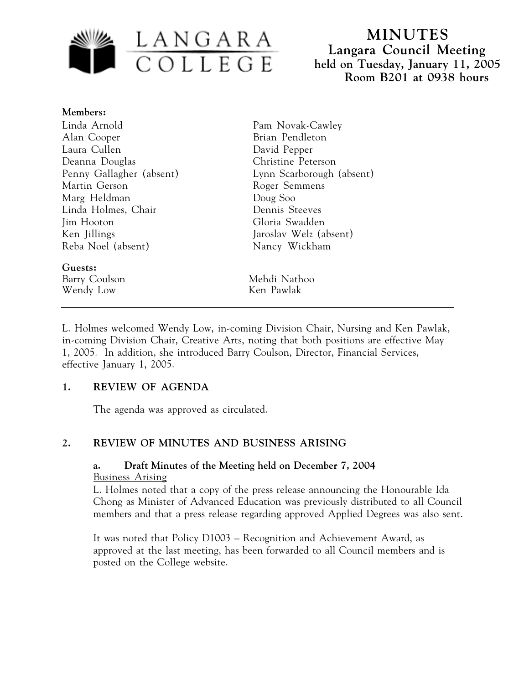

# **MINUTES Langara Council Meeting held on Tuesday, January 11, 2005 Room B201 at 0938 hours**

#### **Members:**

Linda Arnold Alan Cooper Laura Cullen Deanna Douglas Penny Gallagher (absent) Martin Gerson Marg Heldman Linda Holmes, Chair Jim Hooton Ken Jillings Reba Noel (absent)

**Guests:** Wendy Low Ken Pawlak

Pam Novak-Cawley Brian Pendleton David Pepper Christine Peterson Lynn Scarborough (absent) Roger Semmens Doug Soo Dennis Steeves Gloria Swadden Jaroslav Welz (absent) Nancy Wickham

Barry Coulson Mehdi Nathoo

L. Holmes welcomed Wendy Low, in-coming Division Chair, Nursing and Ken Pawlak, in-coming Division Chair, Creative Arts, noting that both positions are effective May 1, 2005. In addition, she introduced Barry Coulson, Director, Financial Services, effective January 1, 2005.

## **1. REVIEW OF AGENDA**

The agenda was approved as circulated.

## **2. REVIEW OF MINUTES AND BUSINESS ARISING**

### **a. Draft Minutes of the Meeting held on December 7, 2004** Business Arising

L. Holmes noted that a copy of the press release announcing the Honourable Ida Chong as Minister of Advanced Education was previously distributed to all Council members and that a press release regarding approved Applied Degrees was also sent.

It was noted that Policy D1003 – Recognition and Achievement Award, as approved at the last meeting, has been forwarded to all Council members and is posted on the College website.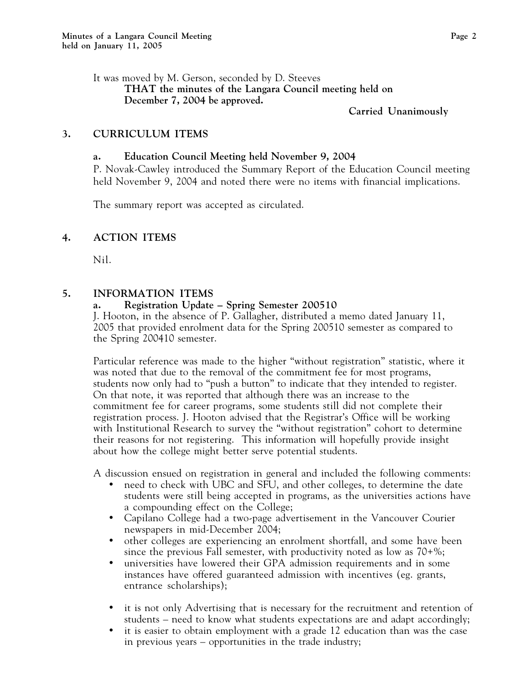It was moved by M. Gerson, seconded by D. Steeves **THAT the minutes of the Langara Council meeting held on December 7, 2004 be approved.**

#### **Carried Unanimously**

#### **3. CURRICULUM ITEMS**

#### **a. Education Council Meeting held November 9, 2004**

P. Novak-Cawley introduced the Summary Report of the Education Council meeting held November 9, 2004 and noted there were no items with financial implications.

The summary report was accepted as circulated.

#### **4. ACTION ITEMS**

Nil.

#### **5. INFORMATION ITEMS**

#### **a. Registration Update – Spring Semester 200510**

J. Hooton, in the absence of P. Gallagher, distributed a memo dated January 11, 2005 that provided enrolment data for the Spring 200510 semester as compared to the Spring 200410 semester.

Particular reference was made to the higher "without registration" statistic, where it was noted that due to the removal of the commitment fee for most programs, students now only had to "push a button" to indicate that they intended to register. On that note, it was reported that although there was an increase to the commitment fee for career programs, some students still did not complete their registration process. J. Hooton advised that the Registrar's Office will be working with Institutional Research to survey the "without registration" cohort to determine their reasons for not registering. This information will hopefully provide insight about how the college might better serve potential students.

A discussion ensued on registration in general and included the following comments:

- need to check with UBC and SFU, and other colleges, to determine the date students were still being accepted in programs, as the universities actions have a compounding effect on the College;
- Capilano College had a two-page advertisement in the Vancouver Courier newspapers in mid-December 2004;
- other colleges are experiencing an enrolment shortfall, and some have been since the previous Fall semester, with productivity noted as low as 70+%;
- universities have lowered their GPA admission requirements and in some instances have offered guaranteed admission with incentives (eg. grants, entrance scholarships);
- it is not only Advertising that is necessary for the recruitment and retention of students – need to know what students expectations are and adapt accordingly;
- it is easier to obtain employment with a grade 12 education than was the case in previous years – opportunities in the trade industry;